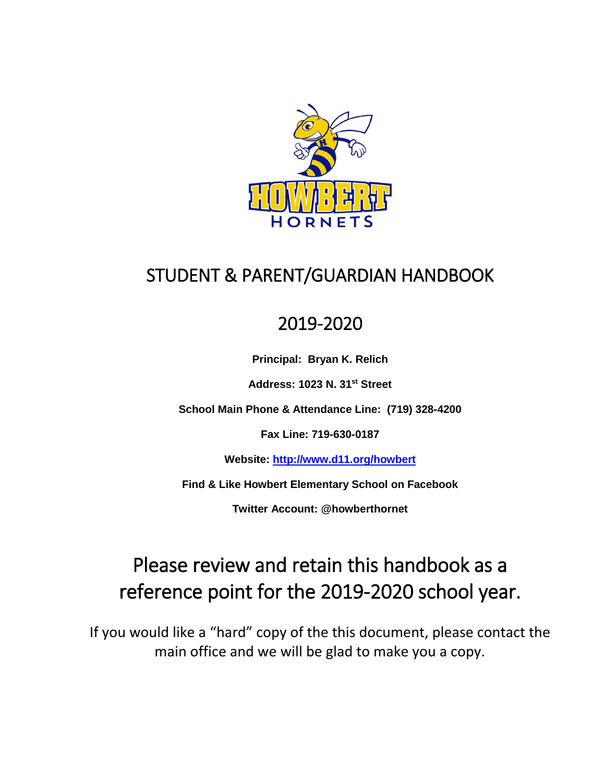

# STUDENT & PARENT/GUARDIAN HANDBOOK

## 2019-2020

**Principal: Bryan K. Relich**

**Address: 1023 N. 31st Street** 

**School Main Phone & Attendance Line: (719) 328-4200**

**Fax Line: 719-630-0187**

**Website:<http://www.d11.org/howbert>**

**Find & Like Howbert Elementary School on Facebook**

**Twitter Account: @howberthornet**

# Please review and retain this handbook as a reference point for the 2019-2020 school year.

If you would like a "hard" copy of the this document, please contact the main office and we will be glad to make you a copy.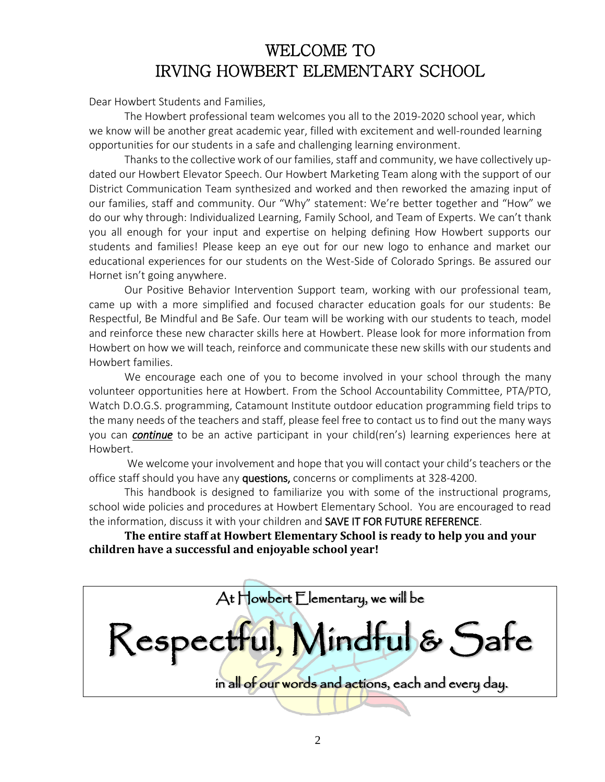### WELCOME TO IRVING HOWBERT ELEMENTARY SCHOOL

Dear Howbert Students and Families,

The Howbert professional team welcomes you all to the 2019-2020 school year, which we know will be another great academic year, filled with excitement and well-rounded learning opportunities for our students in a safe and challenging learning environment.

Thanks to the collective work of our families, staff and community, we have collectively updated our Howbert Elevator Speech. Our Howbert Marketing Team along with the support of our District Communication Team synthesized and worked and then reworked the amazing input of our families, staff and community. Our "Why" statement: We're better together and "How" we do our why through: Individualized Learning, Family School, and Team of Experts. We can't thank you all enough for your input and expertise on helping defining How Howbert supports our students and families! Please keep an eye out for our new logo to enhance and market our educational experiences for our students on the West-Side of Colorado Springs. Be assured our Hornet isn't going anywhere.

Our Positive Behavior Intervention Support team, working with our professional team, came up with a more simplified and focused character education goals for our students: Be Respectful, Be Mindful and Be Safe. Our team will be working with our students to teach, model and reinforce these new character skills here at Howbert. Please look for more information from Howbert on how we will teach, reinforce and communicate these new skills with our students and Howbert families.

We encourage each one of you to become involved in your school through the many volunteer opportunities here at Howbert. From the School Accountability Committee, PTA/PTO, Watch D.O.G.S. programming, Catamount Institute outdoor education programming field trips to the many needs of the teachers and staff, please feel free to contact us to find out the many ways you can *continue* to be an active participant in your child(ren's) learning experiences here at Howbert.

We welcome your involvement and hope that you will contact your child's teachers or the office staff should you have any questions, concerns or compliments at 328-4200.

This handbook is designed to familiarize you with some of the instructional programs, school wide policies and procedures at Howbert Elementary School. You are encouraged to read the information, discuss it with your children and SAVE IT FOR FUTURE REFERENCE.

**The entire staff at Howbert Elementary School is ready to help you and your children have a successful and enjoyable school year!**

At Howbert Elementary, we will be

Respectful, Mindful & Safe

in all of our words and actions, each and every day.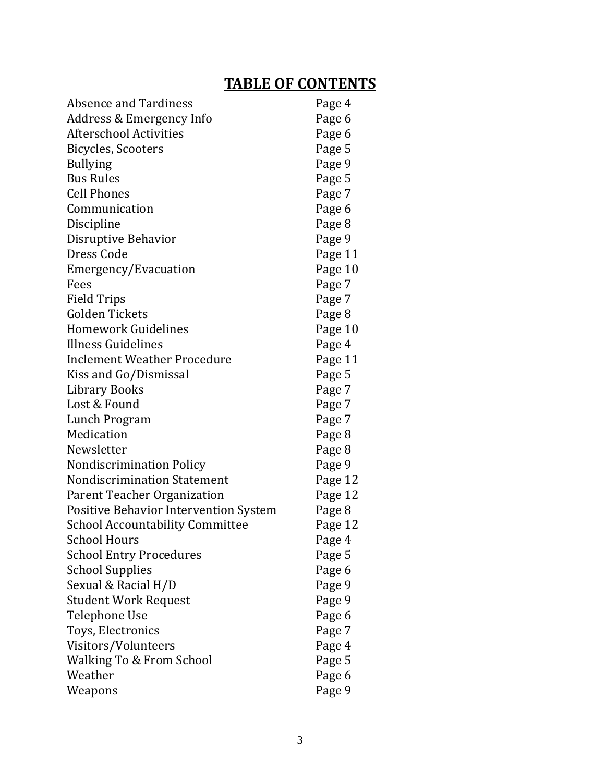### **TABLE OF CONTENTS**

| <b>Absence and Tardiness</b>                 | Page 4  |
|----------------------------------------------|---------|
| Address & Emergency Info                     | Page 6  |
| <b>Afterschool Activities</b>                | Page 6  |
| Bicycles, Scooters                           | Page 5  |
| <b>Bullying</b>                              | Page 9  |
| <b>Bus Rules</b>                             | Page 5  |
| <b>Cell Phones</b>                           | Page 7  |
| Communication                                | Page 6  |
| Discipline                                   | Page 8  |
| Disruptive Behavior                          | Page 9  |
| Dress Code                                   | Page 11 |
| Emergency/Evacuation                         | Page 10 |
| Fees                                         | Page 7  |
| <b>Field Trips</b>                           | Page 7  |
| <b>Golden Tickets</b>                        | Page 8  |
| <b>Homework Guidelines</b>                   | Page 10 |
| Illness Guidelines                           | Page 4  |
| <b>Inclement Weather Procedure</b>           | Page 11 |
| Kiss and Go/Dismissal                        | Page 5  |
| <b>Library Books</b>                         | Page 7  |
| Lost & Found                                 | Page 7  |
| Lunch Program                                | Page 7  |
| Medication                                   | Page 8  |
| Newsletter                                   | Page 8  |
| <b>Nondiscrimination Policy</b>              | Page 9  |
| <b>Nondiscrimination Statement</b>           | Page 12 |
| Parent Teacher Organization                  | Page 12 |
| <b>Positive Behavior Intervention System</b> | Page 8  |
| <b>School Accountability Committee</b>       | Page 12 |
| <b>School Hours</b>                          | Page 4  |
| <b>School Entry Procedures</b>               | Page 5  |
| <b>School Supplies</b>                       | Page 6  |
| Sexual & Racial H/D                          | Page 9  |
| Student Work Request                         | Page 9  |
| Telephone Use                                | Page 6  |
| Toys, Electronics                            | Page 7  |
| Visitors/Volunteers                          | Page 4  |
| Walking To & From School                     | Page 5  |
| Weather                                      | Page 6  |
| Weapons                                      | Page 9  |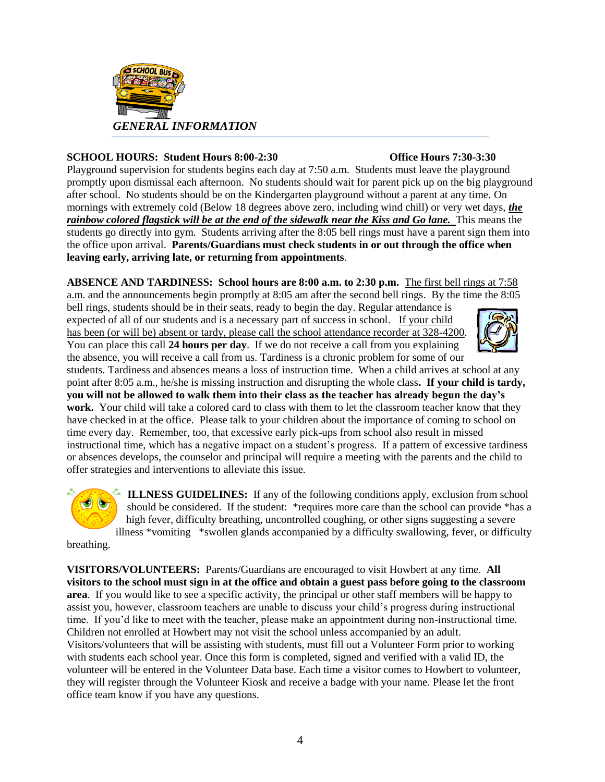

#### **SCHOOL HOURS: Student Hours 8:00-2:30 Office Hours 7:30-3:30**

Playground supervision for students begins each day at 7:50 a.m. Students must leave the playground promptly upon dismissal each afternoon. No students should wait for parent pick up on the big playground after school. No students should be on the Kindergarten playground without a parent at any time. On mornings with extremely cold (Below 18 degrees above zero, including wind chill) or very wet days, *the rainbow colored flagstick will be at the end of the sidewalk near the Kiss and Go lane.* This means the students go directly into gym. Students arriving after the 8:05 bell rings must have a parent sign them into the office upon arrival. **Parents/Guardians must check students in or out through the office when leaving early, arriving late, or returning from appointments**.

**ABSENCE AND TARDINESS: School hours are 8:00 a.m. to 2:30 p.m.** The first bell rings at 7:58 a.m. and the announcements begin promptly at 8:05 am after the second bell rings. By the time the 8:05

bell rings, students should be in their seats, ready to begin the day. Regular attendance is expected of all of our students and is a necessary part of success in school. If your child has been (or will be) absent or tardy, please call the school attendance recorder at 328-4200. You can place this call **24 hours per day**. If we do not receive a call from you explaining the absence, you will receive a call from us. Tardiness is a chronic problem for some of our



students. Tardiness and absences means a loss of instruction time. When a child arrives at school at any point after 8:05 a.m., he/she is missing instruction and disrupting the whole class**. If your child is tardy, you will not be allowed to walk them into their class as the teacher has already begun the day's work.** Your child will take a colored card to class with them to let the classroom teacher know that they have checked in at the office.Please talk to your children about the importance of coming to school on time every day. Remember, too, that excessive early pick-ups from school also result in missed instructional time, which has a negative impact on a student's progress. If a pattern of excessive tardiness or absences develops, the counselor and principal will require a meeting with the parents and the child to offer strategies and interventions to alleviate this issue.



**ILLNESS GUIDELINES:** If any of the following conditions apply, exclusion from school should be considered. If the student: \*requires more care than the school can provide \*has a high fever, difficulty breathing, uncontrolled coughing, or other signs suggesting a severe illness \*vomiting \*swollen glands accompanied by a difficulty swallowing, fever, or difficulty

breathing.

**VISITORS/VOLUNTEERS:** Parents/Guardians are encouraged to visit Howbert at any time. **All visitors to the school must sign in at the office and obtain a guest pass before going to the classroom area**. If you would like to see a specific activity, the principal or other staff members will be happy to assist you, however, classroom teachers are unable to discuss your child's progress during instructional time. If you'd like to meet with the teacher, please make an appointment during non-instructional time. Children not enrolled at Howbert may not visit the school unless accompanied by an adult. Visitors/volunteers that will be assisting with students, must fill out a Volunteer Form prior to working with students each school year. Once this form is completed, signed and verified with a valid ID, the volunteer will be entered in the Volunteer Data base. Each time a visitor comes to Howbert to volunteer, they will register through the Volunteer Kiosk and receive a badge with your name. Please let the front office team know if you have any questions.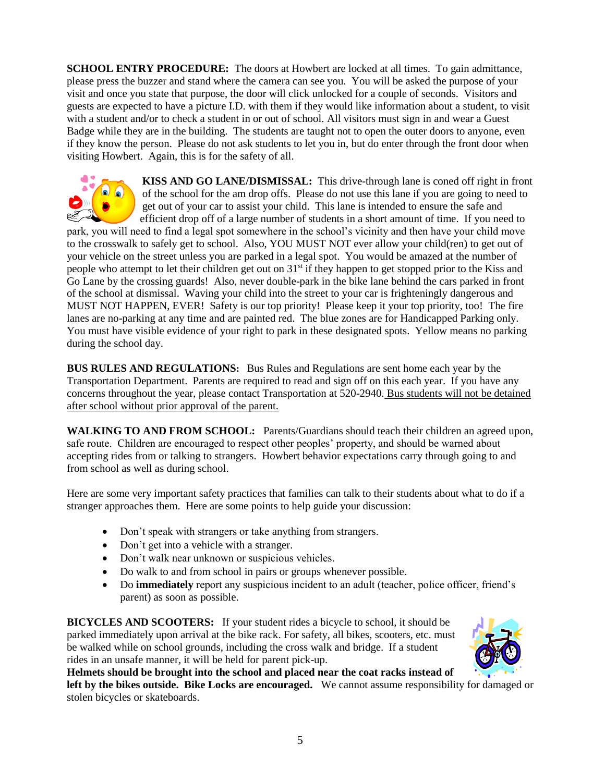**SCHOOL ENTRY PROCEDURE:** The doors at Howbert are locked at all times. To gain admittance, please press the buzzer and stand where the camera can see you. You will be asked the purpose of your visit and once you state that purpose, the door will click unlocked for a couple of seconds. Visitors and guests are expected to have a picture I.D. with them if they would like information about a student, to visit with a student and/or to check a student in or out of school. All visitors must sign in and wear a Guest Badge while they are in the building. The students are taught not to open the outer doors to anyone, even if they know the person. Please do not ask students to let you in, but do enter through the front door when visiting Howbert. Again, this is for the safety of all.



**KISS AND GO LANE/DISMISSAL:** This drive-through lane is coned off right in front of the school for the am drop offs. Please do not use this lane if you are going to need to get out of your car to assist your child. This lane is intended to ensure the safe and efficient drop off of a large number of students in a short amount of time. If you need to

park, you will need to find a legal spot somewhere in the school's vicinity and then have your child move to the crosswalk to safely get to school. Also, YOU MUST NOT ever allow your child(ren) to get out of your vehicle on the street unless you are parked in a legal spot. You would be amazed at the number of people who attempt to let their children get out on  $31<sup>st</sup>$  if they happen to get stopped prior to the Kiss and Go Lane by the crossing guards! Also, never double-park in the bike lane behind the cars parked in front of the school at dismissal. Waving your child into the street to your car is frighteningly dangerous and MUST NOT HAPPEN, EVER! Safety is our top priority! Please keep it your top priority, too! The fire lanes are no-parking at any time and are painted red. The blue zones are for Handicapped Parking only. You must have visible evidence of your right to park in these designated spots. Yellow means no parking during the school day.

**BUS RULES AND REGULATIONS:** Bus Rules and Regulations are sent home each year by the Transportation Department. Parents are required to read and sign off on this each year. If you have any concerns throughout the year, please contact Transportation at 520-2940. Bus students will not be detained after school without prior approval of the parent.

**WALKING TO AND FROM SCHOOL:** Parents/Guardians should teach their children an agreed upon, safe route. Children are encouraged to respect other peoples' property, and should be warned about accepting rides from or talking to strangers. Howbert behavior expectations carry through going to and from school as well as during school.

Here are some very important safety practices that families can talk to their students about what to do if a stranger approaches them. Here are some points to help guide your discussion:

- Don't speak with strangers or take anything from strangers.
- Don't get into a vehicle with a stranger.
- Don't walk near unknown or suspicious vehicles.
- Do walk to and from school in pairs or groups whenever possible.
- Do **immediately** report any suspicious incident to an adult (teacher, police officer, friend's parent) as soon as possible.

**BICYCLES AND SCOOTERS:** If your student rides a bicycle to school, it should be parked immediately upon arrival at the bike rack. For safety, all bikes, scooters, etc. must be walked while on school grounds, including the cross walk and bridge. If a student rides in an unsafe manner, it will be held for parent pick-up.



**Helmets should be brought into the school and placed near the coat racks instead of left by the bikes outside. Bike Locks are encouraged.** We cannot assume responsibility for damaged or stolen bicycles or skateboards.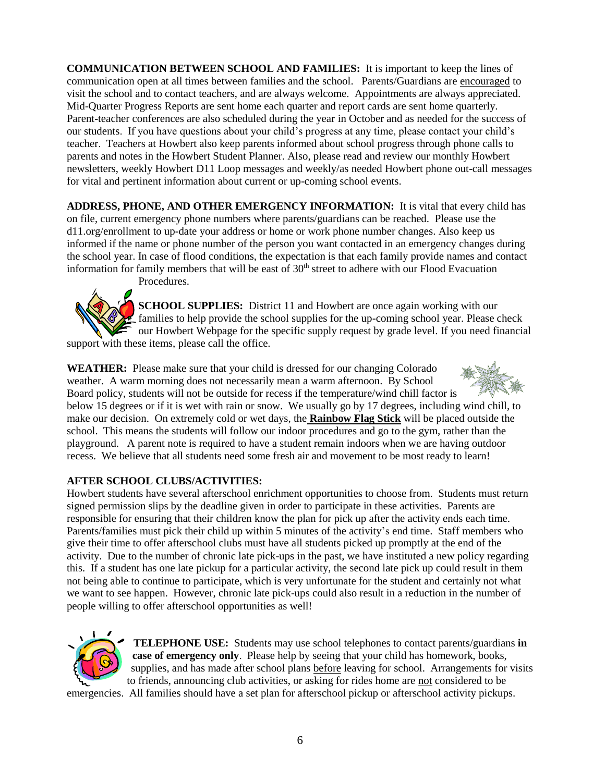**COMMUNICATION BETWEEN SCHOOL AND FAMILIES:** It is important to keep the lines of communication open at all times between families and the school. Parents/Guardians are encouraged to visit the school and to contact teachers, and are always welcome. Appointments are always appreciated. Mid-Quarter Progress Reports are sent home each quarter and report cards are sent home quarterly. Parent-teacher conferences are also scheduled during the year in October and as needed for the success of our students. If you have questions about your child's progress at any time, please contact your child's teacher. Teachers at Howbert also keep parents informed about school progress through phone calls to parents and notes in the Howbert Student Planner. Also, please read and review our monthly Howbert newsletters, weekly Howbert D11 Loop messages and weekly/as needed Howbert phone out-call messages for vital and pertinent information about current or up-coming school events.

**ADDRESS, PHONE, AND OTHER EMERGENCY INFORMATION:** It is vital that every child has on file, current emergency phone numbers where parents/guardians can be reached. Please use the d11.org/enrollment to up-date your address or home or work phone number changes. Also keep us informed if the name or phone number of the person you want contacted in an emergency changes during the school year. In case of flood conditions, the expectation is that each family provide names and contact information for family members that will be east of 30<sup>th</sup> street to adhere with our Flood Evacuation Procedures.



**SCHOOL SUPPLIES:** District 11 and Howbert are once again working with our families to help provide the school supplies for the up-coming school year. Please check our Howbert Webpage for the specific supply request by grade level. If you need financial support with these items, please call the office.

**WEATHER:** Please make sure that your child is dressed for our changing Colorado weather. A warm morning does not necessarily mean a warm afternoon. By School Board policy, students will not be outside for recess if the temperature/wind chill factor is below 15 degrees or if it is wet with rain or snow. We usually go by 17 degrees, including wind chill, to make our decision. On extremely cold or wet days, the **Rainbow Flag Stick** will be placed outside the school. This means the students will follow our indoor procedures and go to the gym, rather than the playground. A parent note is required to have a student remain indoors when we are having outdoor

recess. We believe that all students need some fresh air and movement to be most ready to learn!

### **AFTER SCHOOL CLUBS/ACTIVITIES:**

Howbert students have several afterschool enrichment opportunities to choose from. Students must return signed permission slips by the deadline given in order to participate in these activities. Parents are responsible for ensuring that their children know the plan for pick up after the activity ends each time. Parents/families must pick their child up within 5 minutes of the activity's end time. Staff members who give their time to offer afterschool clubs must have all students picked up promptly at the end of the activity. Due to the number of chronic late pick-ups in the past, we have instituted a new policy regarding this. If a student has one late pickup for a particular activity, the second late pick up could result in them not being able to continue to participate, which is very unfortunate for the student and certainly not what we want to see happen. However, chronic late pick-ups could also result in a reduction in the number of people willing to offer afterschool opportunities as well!



**TELEPHONE USE:** Students may use school telephones to contact parents/guardians **in case of emergency only**. Please help by seeing that your child has homework, books, supplies, and has made after school plans before leaving for school. Arrangements for visits to friends, announcing club activities, or asking for rides home are not considered to be

emergencies. All families should have a set plan for afterschool pickup or afterschool activity pickups.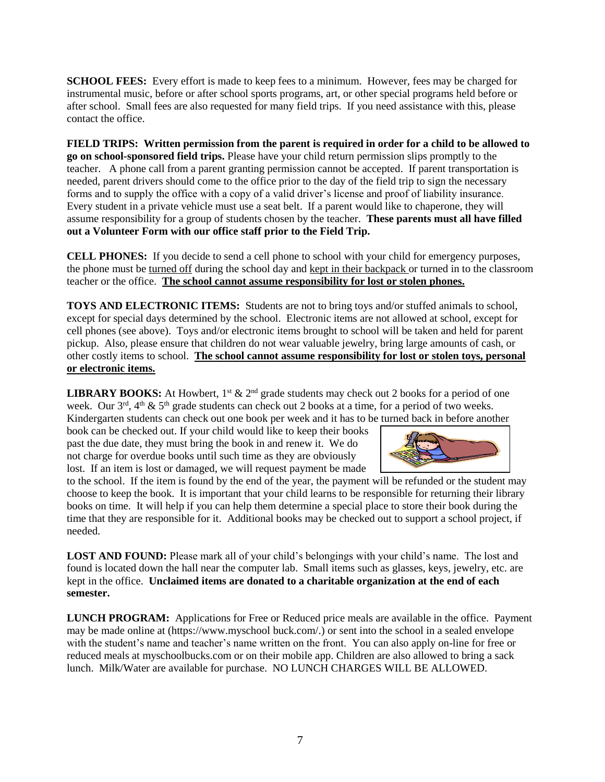**SCHOOL FEES:** Every effort is made to keep fees to a minimum. However, fees may be charged for instrumental music, before or after school sports programs, art, or other special programs held before or after school. Small fees are also requested for many field trips. If you need assistance with this, please contact the office.

**FIELD TRIPS: Written permission from the parent is required in order for a child to be allowed to go on school-sponsored field trips.** Please have your child return permission slips promptly to the teacher. A phone call from a parent granting permission cannot be accepted. If parent transportation is needed, parent drivers should come to the office prior to the day of the field trip to sign the necessary forms and to supply the office with a copy of a valid driver's license and proof of liability insurance. Every student in a private vehicle must use a seat belt. If a parent would like to chaperone, they will assume responsibility for a group of students chosen by the teacher. **These parents must all have filled out a Volunteer Form with our office staff prior to the Field Trip.**

**CELL PHONES:** If you decide to send a cell phone to school with your child for emergency purposes, the phone must be turned off during the school day and kept in their backpack or turned in to the classroom teacher or the office. **The school cannot assume responsibility for lost or stolen phones.**

**TOYS AND ELECTRONIC ITEMS:** Students are not to bring toys and/or stuffed animals to school, except for special days determined by the school. Electronic items are not allowed at school, except for cell phones (see above). Toys and/or electronic items brought to school will be taken and held for parent pickup. Also, please ensure that children do not wear valuable jewelry, bring large amounts of cash, or other costly items to school. **The school cannot assume responsibility for lost or stolen toys, personal or electronic items.**

**LIBRARY BOOKS:** At Howbert,  $1^{st}$  &  $2^{nd}$  grade students may check out 2 books for a period of one week. Our  $3^{rd}$ ,  $4^{th}$  &  $5^{th}$  grade students can check out 2 books at a time, for a period of two weeks. Kindergarten students can check out one book per week and it has to be turned back in before another

book can be checked out. If your child would like to keep their books past the due date, they must bring the book in and renew it. We do not charge for overdue books until such time as they are obviously lost. If an item is lost or damaged, we will request payment be made



to the school. If the item is found by the end of the year, the payment will be refunded or the student may choose to keep the book. It is important that your child learns to be responsible for returning their library books on time. It will help if you can help them determine a special place to store their book during the time that they are responsible for it. Additional books may be checked out to support a school project, if needed.

**LOST AND FOUND:** Please mark all of your child's belongings with your child's name. The lost and found is located down the hall near the computer lab. Small items such as glasses, keys, jewelry, etc. are kept in the office. **Unclaimed items are donated to a charitable organization at the end of each semester.** 

**LUNCH PROGRAM:** Applications for Free or Reduced price meals are available in the office. Payment may be made online at (https://www.myschool buck.com/.) or sent into the school in a sealed envelope with the student's name and teacher's name written on the front. You can also apply on-line for free or reduced meals at myschoolbucks.com or on their mobile app. Children are also allowed to bring a sack lunch. Milk/Water are available for purchase. NO LUNCH CHARGES WILL BE ALLOWED.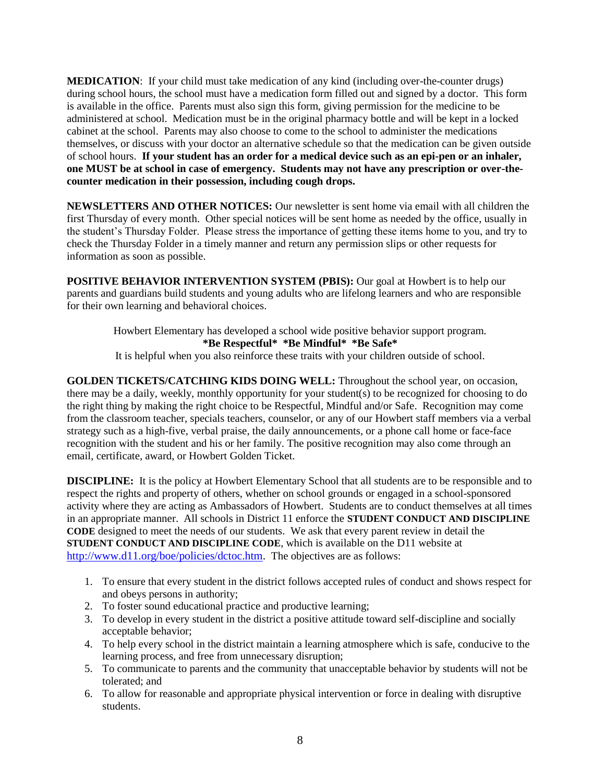**MEDICATION**: If your child must take medication of any kind (including over-the-counter drugs) during school hours, the school must have a medication form filled out and signed by a doctor. This form is available in the office. Parents must also sign this form, giving permission for the medicine to be administered at school. Medication must be in the original pharmacy bottle and will be kept in a locked cabinet at the school. Parents may also choose to come to the school to administer the medications themselves, or discuss with your doctor an alternative schedule so that the medication can be given outside of school hours. **If your student has an order for a medical device such as an epi-pen or an inhaler, one MUST be at school in case of emergency. Students may not have any prescription or over-thecounter medication in their possession, including cough drops.**

**NEWSLETTERS AND OTHER NOTICES:** Our newsletter is sent home via email with all children the first Thursday of every month. Other special notices will be sent home as needed by the office, usually in the student's Thursday Folder. Please stress the importance of getting these items home to you, and try to check the Thursday Folder in a timely manner and return any permission slips or other requests for information as soon as possible.

**POSITIVE BEHAVIOR INTERVENTION SYSTEM (PBIS):** Our goal at Howbert is to help our parents and guardians build students and young adults who are lifelong learners and who are responsible for their own learning and behavioral choices.

> Howbert Elementary has developed a school wide positive behavior support program. **\*Be Respectful\* \*Be Mindful\* \*Be Safe\***

> It is helpful when you also reinforce these traits with your children outside of school.

**GOLDEN TICKETS/CATCHING KIDS DOING WELL:** Throughout the school year, on occasion, there may be a daily, weekly, monthly opportunity for your student(s) to be recognized for choosing to do the right thing by making the right choice to be Respectful, Mindful and/or Safe. Recognition may come from the classroom teacher, specials teachers, counselor, or any of our Howbert staff members via a verbal strategy such as a high-five, verbal praise, the daily announcements, or a phone call home or face-face recognition with the student and his or her family. The positive recognition may also come through an email, certificate, award, or Howbert Golden Ticket.

**DISCIPLINE:** It is the policy at Howbert Elementary School that all students are to be responsible and to respect the rights and property of others, whether on school grounds or engaged in a school-sponsored activity where they are acting as Ambassadors of Howbert. Students are to conduct themselves at all times in an appropriate manner. All schools in District 11 enforce the **STUDENT CONDUCT AND DISCIPLINE CODE** designed to meet the needs of our students. We ask that every parent review in detail the **STUDENT CONDUCT AND DISCIPLINE CODE**, which is available on the D11 website at [http://www.d11.org/boe/policies/dctoc.htm.](http://www.d11.org/boe/policies/dctoc.htm) The objectives are as follows:

- 1. To ensure that every student in the district follows accepted rules of conduct and shows respect for and obeys persons in authority;
- 2. To foster sound educational practice and productive learning;
- 3. To develop in every student in the district a positive attitude toward self-discipline and socially acceptable behavior;
- 4. To help every school in the district maintain a learning atmosphere which is safe, conducive to the learning process, and free from unnecessary disruption;
- 5. To communicate to parents and the community that unacceptable behavior by students will not be tolerated; and
- 6. To allow for reasonable and appropriate physical intervention or force in dealing with disruptive students.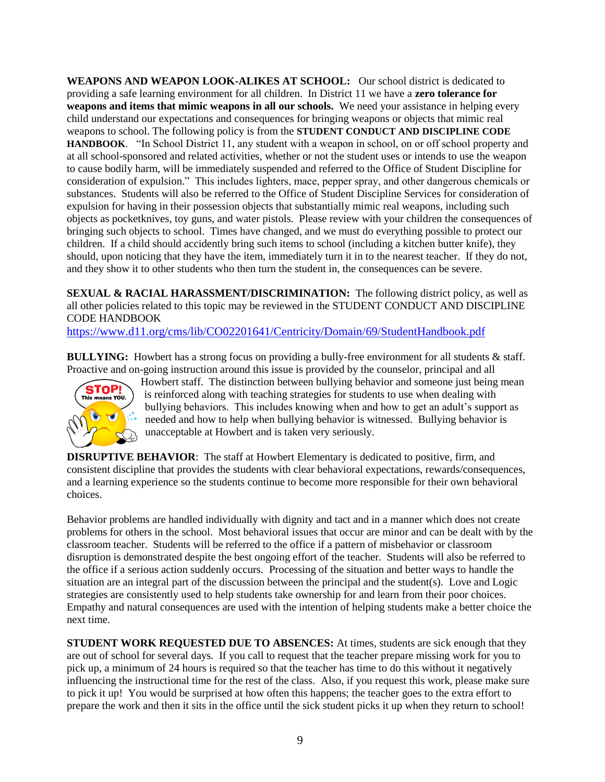**WEAPONS AND WEAPON LOOK-ALIKES AT SCHOOL:** Our school district is dedicated to providing a safe learning environment for all children. In District 11 we have a **zero tolerance for weapons and items that mimic weapons in all our schools.** We need your assistance in helping every child understand our expectations and consequences for bringing weapons or objects that mimic real weapons to school. The following policy is from the **STUDENT CONDUCT AND DISCIPLINE CODE HANDBOOK**. "In School District 11, any student with a weapon in school, on or off school property and at all school-sponsored and related activities, whether or not the student uses or intends to use the weapon to cause bodily harm, will be immediately suspended and referred to the Office of Student Discipline for consideration of expulsion." This includes lighters, mace, pepper spray, and other dangerous chemicals or substances. Students will also be referred to the Office of Student Discipline Services for consideration of expulsion for having in their possession objects that substantially mimic real weapons, including such objects as pocketknives, toy guns, and water pistols. Please review with your children the consequences of bringing such objects to school. Times have changed, and we must do everything possible to protect our children. If a child should accidently bring such items to school (including a kitchen butter knife), they should, upon noticing that they have the item, immediately turn it in to the nearest teacher. If they do not, and they show it to other students who then turn the student in, the consequences can be severe.

**SEXUAL & RACIAL HARASSMENT/DISCRIMINATION:** The following district policy, as well as all other policies related to this topic may be reviewed in the STUDENT CONDUCT AND DISCIPLINE CODE HANDBOOK

[https://www.d11.org/cms/lib/CO02201641/Centricity/Domain/69/StudentHandbook.pdf](https://d11-my.sharepoint.com/personal/bryan_relich_d11_org/Documents/Opening%20School/19-20/Student%20Handbook/Student%20Handbook%20for%2019-20.docx) 

**BULLYING:** Howbert has a strong focus on providing a bully-free environment for all students & staff. Proactive and on-going instruction around this issue is provided by the counselor, principal and all



Howbert staff. The distinction between bullying behavior and someone just being mean is reinforced along with teaching strategies for students to use when dealing with bullying behaviors. This includes knowing when and how to get an adult's support as needed and how to help when bullying behavior is witnessed. Bullying behavior is unacceptable at Howbert and is taken very seriously.

**DISRUPTIVE BEHAVIOR:** The staff at Howbert Elementary is dedicated to positive, firm, and consistent discipline that provides the students with clear behavioral expectations, rewards/consequences, and a learning experience so the students continue to become more responsible for their own behavioral choices.

Behavior problems are handled individually with dignity and tact and in a manner which does not create problems for others in the school. Most behavioral issues that occur are minor and can be dealt with by the classroom teacher. Students will be referred to the office if a pattern of misbehavior or classroom disruption is demonstrated despite the best ongoing effort of the teacher. Students will also be referred to the office if a serious action suddenly occurs. Processing of the situation and better ways to handle the situation are an integral part of the discussion between the principal and the student(s). Love and Logic strategies are consistently used to help students take ownership for and learn from their poor choices. Empathy and natural consequences are used with the intention of helping students make a better choice the next time.

**STUDENT WORK REQUESTED DUE TO ABSENCES:** At times, students are sick enough that they are out of school for several days. If you call to request that the teacher prepare missing work for you to pick up, a minimum of 24 hours is required so that the teacher has time to do this without it negatively influencing the instructional time for the rest of the class. Also, if you request this work, please make sure to pick it up! You would be surprised at how often this happens; the teacher goes to the extra effort to prepare the work and then it sits in the office until the sick student picks it up when they return to school!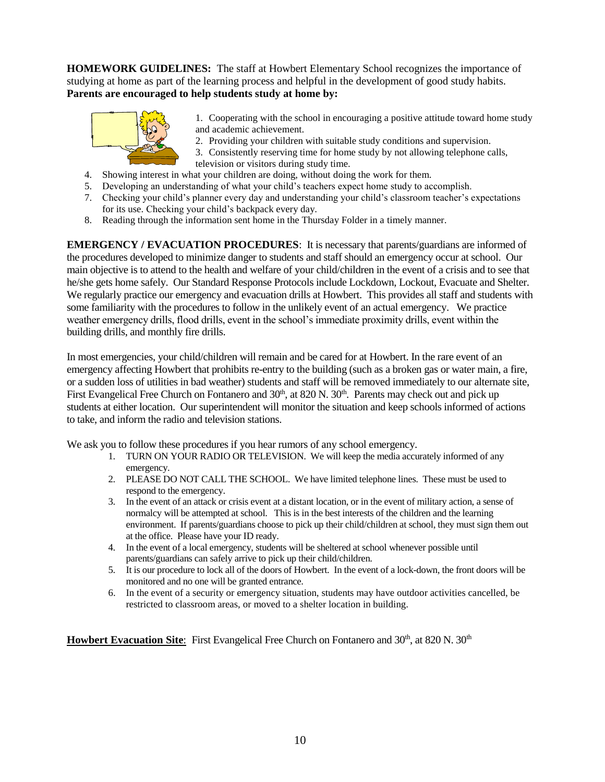**HOMEWORK GUIDELINES:** The staff at Howbert Elementary School recognizes the importance of studying at home as part of the learning process and helpful in the development of good study habits. **Parents are encouraged to help students study at home by:**



1. Cooperating with the school in encouraging a positive attitude toward home study and academic achievement.

- 2. Providing your children with suitable study conditions and supervision.
- 3. Consistently reserving time for home study by not allowing telephone calls, television or visitors during study time.
- 4. Showing interest in what your children are doing, without doing the work for them.
- 5. Developing an understanding of what your child's teachers expect home study to accomplish.
- 7. Checking your child's planner every day and understanding your child's classroom teacher's expectations for its use. Checking your child's backpack every day.
- 8. Reading through the information sent home in the Thursday Folder in a timely manner.

**EMERGENCY / EVACUATION PROCEDURES**: It is necessary that parents/guardians are informed of the procedures developed to minimize danger to students and staff should an emergency occur at school. Our main objective is to attend to the health and welfare of your child/children in the event of a crisis and to see that he/she gets home safely. Our Standard Response Protocols include Lockdown, Lockout, Evacuate and Shelter. We regularly practice our emergency and evacuation drills at Howbert. This provides all staff and students with some familiarity with the procedures to follow in the unlikely event of an actual emergency. We practice weather emergency drills, flood drills, event in the school's immediate proximity drills, event within the building drills, and monthly fire drills.

In most emergencies, your child/children will remain and be cared for at Howbert. In the rare event of an emergency affecting Howbert that prohibits re-entry to the building (such as a broken gas or water main, a fire, or a sudden loss of utilities in bad weather) students and staff will be removed immediately to our alternate site, First Evangelical Free Church on Fontanero and 30<sup>th</sup>, at 820 N. 30<sup>th</sup>. Parents may check out and pick up students at either location. Our superintendent will monitor the situation and keep schools informed of actions to take, and inform the radio and television stations.

We ask you to follow these procedures if you hear rumors of any school emergency.

- 1. TURN ON YOUR RADIO OR TELEVISION. We will keep the media accurately informed of any emergency.
- 2. PLEASE DO NOT CALL THE SCHOOL. We have limited telephone lines. These must be used to respond to the emergency.
- 3. In the event of an attack or crisis event at a distant location, or in the event of military action, a sense of normalcy will be attempted at school. This is in the best interests of the children and the learning environment. If parents/guardians choose to pick up their child/children at school, they must sign them out at the office. Please have your ID ready.
- 4. In the event of a local emergency, students will be sheltered at school whenever possible until parents/guardians can safely arrive to pick up their child/children.
- 5. It is our procedure to lock all of the doors of Howbert. In the event of a lock-down, the front doors will be monitored and no one will be granted entrance.
- 6. In the event of a security or emergency situation, students may have outdoor activities cancelled, be restricted to classroom areas, or moved to a shelter location in building.

Howbert Evacuation Site: First Evangelical Free Church on Fontanero and 30<sup>th</sup>, at 820 N. 30<sup>th</sup>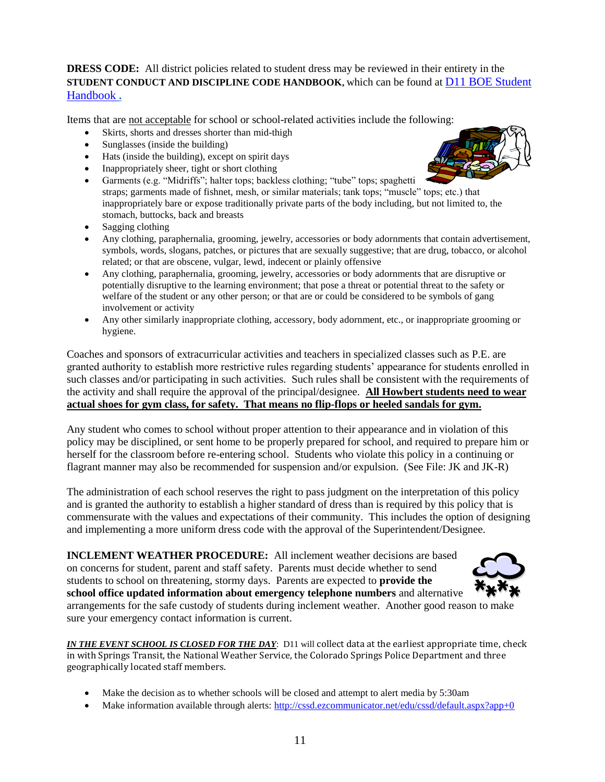**DRESS CODE:** All district policies related to student dress may be reviewed in their entirety in the **STUDENT CONDUCT AND DISCIPLINE CODE HANDBOOK,** which can be found at [D11 BOE Student](https://www.d11.org/cms/lib/CO02201641/Centricity/Domain/69/StudentHandbook.pdf)  [Handbook](https://www.d11.org/cms/lib/CO02201641/Centricity/Domain/69/StudentHandbook.pdf) **.** 

Items that are not acceptable for school or school-related activities include the following:

- Skirts, shorts and dresses shorter than mid-thigh
- Sunglasses (inside the building)
- Hats (inside the building), except on spirit days
- Inappropriately sheer, tight or short clothing
- Garments (e.g. "Midriffs"; halter tops; backless clothing; "tube" tops; spaghetti straps; garments made of fishnet, mesh, or similar materials; tank tops; "muscle" tops; etc.) that inappropriately bare or expose traditionally private parts of the body including, but not limited to, the stomach, buttocks, back and breasts
- Sagging clothing
- Any clothing, paraphernalia, grooming, jewelry, accessories or body adornments that contain advertisement, symbols, words, slogans, patches, or pictures that are sexually suggestive; that are drug, tobacco, or alcohol related; or that are obscene, vulgar, lewd, indecent or plainly offensive
- Any clothing, paraphernalia, grooming, jewelry, accessories or body adornments that are disruptive or potentially disruptive to the learning environment; that pose a threat or potential threat to the safety or welfare of the student or any other person; or that are or could be considered to be symbols of gang involvement or activity
- Any other similarly inappropriate clothing, accessory, body adornment, etc., or inappropriate grooming or hygiene.

Coaches and sponsors of extracurricular activities and teachers in specialized classes such as P.E. are granted authority to establish more restrictive rules regarding students' appearance for students enrolled in such classes and/or participating in such activities. Such rules shall be consistent with the requirements of the activity and shall require the approval of the principal/designee. **All Howbert students need to wear actual shoes for gym class, for safety. That means no flip-flops or heeled sandals for gym.**

Any student who comes to school without proper attention to their appearance and in violation of this policy may be disciplined, or sent home to be properly prepared for school, and required to prepare him or herself for the classroom before re-entering school. Students who violate this policy in a continuing or flagrant manner may also be recommended for suspension and/or expulsion. (See File: JK and JK-R)

The administration of each school reserves the right to pass judgment on the interpretation of this policy and is granted the authority to establish a higher standard of dress than is required by this policy that is commensurate with the values and expectations of their community. This includes the option of designing and implementing a more uniform dress code with the approval of the Superintendent/Designee.

**INCLEMENT WEATHER PROCEDURE:** All inclement weather decisions are based on concerns for student, parent and staff safety. Parents must decide whether to send students to school on threatening, stormy days. Parents are expected to **provide the school office updated information about emergency telephone numbers** and alternative



arrangements for the safe custody of students during inclement weather. Another good reason to make sure your emergency contact information is current.

*IN THE EVENT SCHOOL IS CLOSED FOR THE DAY*: D11 will collect data at the earliest appropriate time, check in with Springs Transit, the National Weather Service, the Colorado Springs Police Department and three geographically located staff members.

- Make the decision as to whether schools will be closed and attempt to alert media by 5:30am
- Make information available through alerts:<http://cssd.ezcommunicator.net/edu/cssd/default.aspx?app+0>